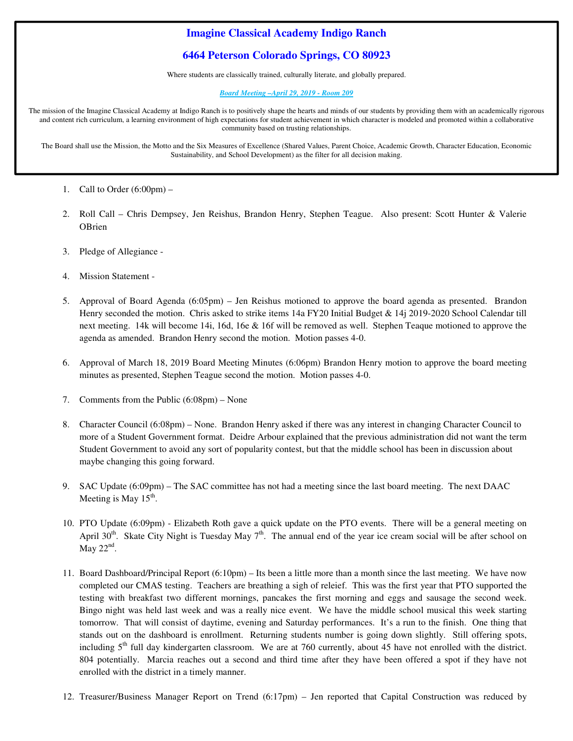# **Imagine Classical Academy Indigo Ranch**

## **6464 Peterson Colorado Springs, CO 80923**

Where students are classically trained, culturally literate, and globally prepared.

#### *Board Meeting –April 29, 2019 - Room 209*

The mission of the Imagine Classical Academy at Indigo Ranch is to positively shape the hearts and minds of our students by providing them with an academically rigorous and content rich curriculum, a learning environment of high expectations for student achievement in which character is modeled and promoted within a collaborative community based on trusting relationships.

The Board shall use the Mission, the Motto and the Six Measures of Excellence (Shared Values, Parent Choice, Academic Growth, Character Education, Economic Sustainability, and School Development) as the filter for all decision making.

**.**

- 1. Call to Order  $(6:00 \text{pm})$  –
- 2. Roll Call Chris Dempsey, Jen Reishus, Brandon Henry, Stephen Teague. Also present: Scott Hunter & Valerie **OBrien**
- 3. Pledge of Allegiance -
- 4. Mission Statement -
- 5. Approval of Board Agenda (6:05pm) Jen Reishus motioned to approve the board agenda as presented. Brandon Henry seconded the motion. Chris asked to strike items 14a FY20 Initial Budget & 14j 2019-2020 School Calendar till next meeting. 14k will become 14i, 16d, 16e & 16f will be removed as well. Stephen Teaque motioned to approve the agenda as amended. Brandon Henry second the motion. Motion passes 4-0.
- 6. Approval of March 18, 2019 Board Meeting Minutes (6:06pm) Brandon Henry motion to approve the board meeting minutes as presented, Stephen Teague second the motion. Motion passes 4-0.
- 7. Comments from the Public (6:08pm) None
- 8. Character Council (6:08pm) None. Brandon Henry asked if there was any interest in changing Character Council to more of a Student Government format. Deidre Arbour explained that the previous administration did not want the term Student Government to avoid any sort of popularity contest, but that the middle school has been in discussion about maybe changing this going forward.
- 9. SAC Update (6:09pm) The SAC committee has not had a meeting since the last board meeting. The next DAAC Meeting is May  $15^{\text{th}}$ .
- 10. PTO Update (6:09pm) Elizabeth Roth gave a quick update on the PTO events. There will be a general meeting on April  $30<sup>th</sup>$ . Skate City Night is Tuesday May  $7<sup>th</sup>$ . The annual end of the year ice cream social will be after school on May  $22<sup>nd</sup>$ .
- 11. Board Dashboard/Principal Report (6:10pm) Its been a little more than a month since the last meeting. We have now completed our CMAS testing. Teachers are breathing a sigh of releief. This was the first year that PTO supported the testing with breakfast two different mornings, pancakes the first morning and eggs and sausage the second week. Bingo night was held last week and was a really nice event. We have the middle school musical this week starting tomorrow. That will consist of daytime, evening and Saturday performances. It's a run to the finish. One thing that stands out on the dashboard is enrollment. Returning students number is going down slightly. Still offering spots, including  $5<sup>th</sup>$  full day kindergarten classroom. We are at 760 currently, about 45 have not enrolled with the district. 804 potentially. Marcia reaches out a second and third time after they have been offered a spot if they have not enrolled with the district in a timely manner.
- 12. Treasurer/Business Manager Report on Trend (6:17pm) Jen reported that Capital Construction was reduced by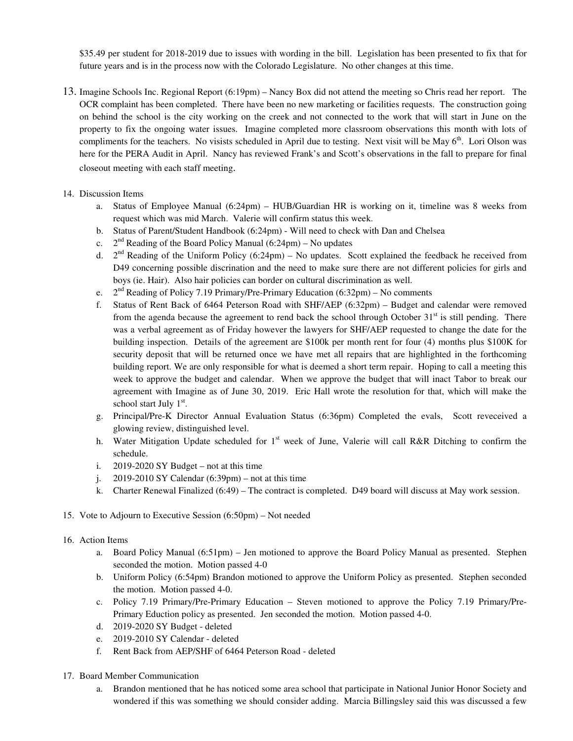\$35.49 per student for 2018-2019 due to issues with wording in the bill. Legislation has been presented to fix that for future years and is in the process now with the Colorado Legislature. No other changes at this time.

- 13. Imagine Schools Inc. Regional Report (6:19pm) Nancy Box did not attend the meeting so Chris read her report. The OCR complaint has been completed. There have been no new marketing or facilities requests. The construction going on behind the school is the city working on the creek and not connected to the work that will start in June on the property to fix the ongoing water issues. Imagine completed more classroom observations this month with lots of compliments for the teachers. No visists scheduled in April due to testing. Next visit will be May 6<sup>th</sup>. Lori Olson was here for the PERA Audit in April. Nancy has reviewed Frank's and Scott's observations in the fall to prepare for final closeout meeting with each staff meeting.
- 14. Discussion Items
	- a. Status of Employee Manual (6:24pm) HUB/Guardian HR is working on it, timeline was 8 weeks from request which was mid March. Valerie will confirm status this week.
	- b. Status of Parent/Student Handbook (6:24pm) Will need to check with Dan and Chelsea
	- c.  $2<sup>nd</sup>$  Reading of the Board Policy Manual (6:24pm) No updates
	- d.  $2<sup>nd</sup>$  Reading of the Uniform Policy (6:24pm) No updates. Scott explained the feedback he received from D49 concerning possible discrination and the need to make sure there are not different policies for girls and boys (ie. Hair). Also hair policies can border on cultural discrimination as well.
	- e.  $2<sup>nd</sup>$  Reading of Policy 7.19 Primary/Pre-Primary Education (6:32pm) No comments
	- f. Status of Rent Back of 6464 Peterson Road with SHF/AEP (6:32pm) Budget and calendar were removed from the agenda because the agreement to rend back the school through October  $31<sup>st</sup>$  is still pending. There was a verbal agreement as of Friday however the lawyers for SHF/AEP requested to change the date for the building inspection. Details of the agreement are \$100k per month rent for four (4) months plus \$100K for security deposit that will be returned once we have met all repairs that are highlighted in the forthcoming building report. We are only responsible for what is deemed a short term repair. Hoping to call a meeting this week to approve the budget and calendar. When we approve the budget that will inact Tabor to break our agreement with Imagine as of June 30, 2019. Eric Hall wrote the resolution for that, which will make the school start July  $1<sup>st</sup>$ .
	- g. Principal/Pre-K Director Annual Evaluation Status (6:36pm) Completed the evals, Scott reveceived a glowing review, distinguished level.
	- h. Water Mitigation Update scheduled for  $1<sup>st</sup>$  week of June, Valerie will call R&R Ditching to confirm the schedule.
	- i. 2019-2020 SY Budget not at this time
	- j. 2019-2010 SY Calendar  $(6:39pm)$  not at this time
	- k. Charter Renewal Finalized (6:49) The contract is completed. D49 board will discuss at May work session.
- 15. Vote to Adjourn to Executive Session (6:50pm) Not needed
- 16. Action Items
	- a. Board Policy Manual (6:51pm) Jen motioned to approve the Board Policy Manual as presented. Stephen seconded the motion. Motion passed 4-0
	- b. Uniform Policy (6:54pm) Brandon motioned to approve the Uniform Policy as presented. Stephen seconded the motion. Motion passed 4-0.
	- c. Policy 7.19 Primary/Pre-Primary Education Steven motioned to approve the Policy 7.19 Primary/Pre-Primary Eduction policy as presented. Jen seconded the motion. Motion passed 4-0.
	- d. 2019-2020 SY Budget deleted
	- e. 2019-2010 SY Calendar deleted
	- f. Rent Back from AEP/SHF of 6464 Peterson Road deleted
- 17. Board Member Communication
	- a. Brandon mentioned that he has noticed some area school that participate in National Junior Honor Society and wondered if this was something we should consider adding. Marcia Billingsley said this was discussed a few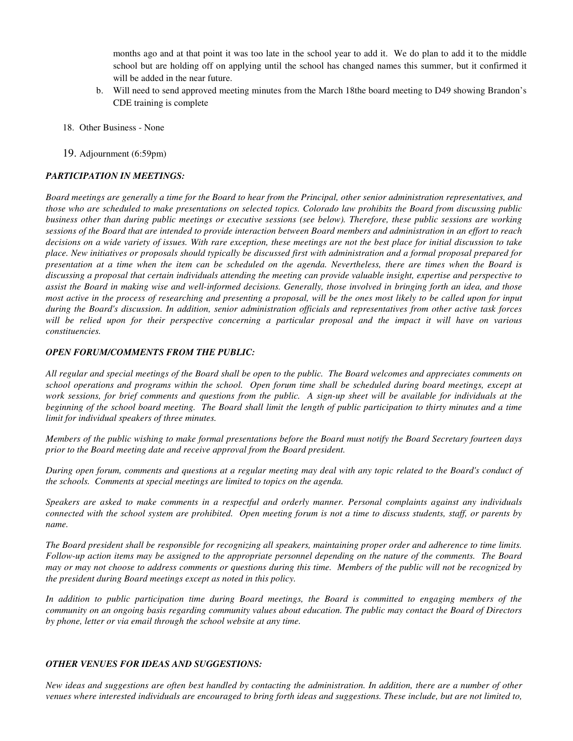months ago and at that point it was too late in the school year to add it. We do plan to add it to the middle school but are holding off on applying until the school has changed names this summer, but it confirmed it will be added in the near future.

- b. Will need to send approved meeting minutes from the March 18the board meeting to D49 showing Brandon's CDE training is complete
- 18. Other Business None
- 19. Adjournment (6:59pm)

#### *PARTICIPATION IN MEETINGS:*

*Board meetings are generally a time for the Board to hear from the Principal, other senior administration representatives, and those who are scheduled to make presentations on selected topics. Colorado law prohibits the Board from discussing public business other than during public meetings or executive sessions (see below). Therefore, these public sessions are working sessions of the Board that are intended to provide interaction between Board members and administration in an effort to reach decisions on a wide variety of issues. With rare exception, these meetings are not the best place for initial discussion to take place. New initiatives or proposals should typically be discussed first with administration and a formal proposal prepared for presentation at a time when the item can be scheduled on the agenda. Nevertheless, there are times when the Board is discussing a proposal that certain individuals attending the meeting can provide valuable insight, expertise and perspective to assist the Board in making wise and well-informed decisions. Generally, those involved in bringing forth an idea, and those most active in the process of researching and presenting a proposal, will be the ones most likely to be called upon for input during the Board's discussion. In addition, senior administration officials and representatives from other active task forces will be relied upon for their perspective concerning a particular proposal and the impact it will have on various constituencies.* 

#### *OPEN FORUM/COMMENTS FROM THE PUBLIC:*

*All regular and special meetings of the Board shall be open to the public. The Board welcomes and appreciates comments on school operations and programs within the school. Open forum time shall be scheduled during board meetings, except at work sessions, for brief comments and questions from the public. A sign-up sheet will be available for individuals at the beginning of the school board meeting. The Board shall limit the length of public participation to thirty minutes and a time limit for individual speakers of three minutes.* 

*Members of the public wishing to make formal presentations before the Board must notify the Board Secretary fourteen days prior to the Board meeting date and receive approval from the Board president.* 

*During open forum, comments and questions at a regular meeting may deal with any topic related to the Board's conduct of the schools. Comments at special meetings are limited to topics on the agenda.* 

*Speakers are asked to make comments in a respectful and orderly manner. Personal complaints against any individuals connected with the school system are prohibited. Open meeting forum is not a time to discuss students, staff, or parents by name.* 

*The Board president shall be responsible for recognizing all speakers, maintaining proper order and adherence to time limits. Follow-up action items may be assigned to the appropriate personnel depending on the nature of the comments. The Board may or may not choose to address comments or questions during this time. Members of the public will not be recognized by the president during Board meetings except as noted in this policy.* 

*In addition to public participation time during Board meetings, the Board is committed to engaging members of the community on an ongoing basis regarding community values about education. The public may contact the Board of Directors by phone, letter or via email through the school website at any time.* 

#### *OTHER VENUES FOR IDEAS AND SUGGESTIONS:*

*New ideas and suggestions are often best handled by contacting the administration. In addition, there are a number of other venues where interested individuals are encouraged to bring forth ideas and suggestions. These include, but are not limited to,*